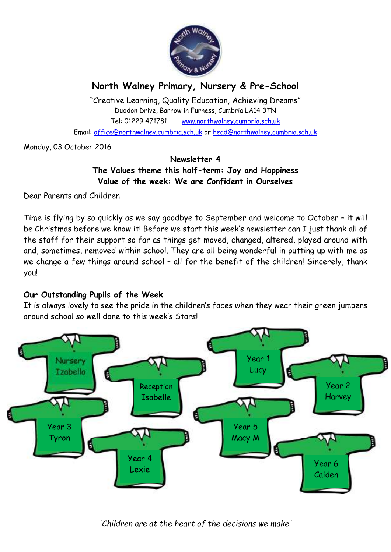

# **North Walney Primary, Nursery & Pre-School**

"Creative Learning, Quality Education, Achieving Dreams" Duddon Drive, Barrow in Furness, Cumbria LA14 3TN Tel: 01229 471781 www.northwalney.cumbria.sch.uk Email: office@northwalney.cumbria.sch.uk or head@northwalney.cumbria.sch.uk

Monday, 03 October 2016

# **Newsletter 4 The Values theme this half-term: Joy and Happiness Value of the week: We are Confident in Ourselves**

Dear Parents and Children

Time is flying by so quickly as we say goodbye to September and welcome to October – it will be Christmas before we know it! Before we start this week's newsletter can I just thank all of the staff for their support so far as things get moved, changed, altered, played around with and, sometimes, removed within school. They are all being wonderful in putting up with me as we change a few things around school - all for the benefit of the children! Sincerely, thank you!

# **Our Outstanding Pupils of the Week**

It is always lovely to see the pride in the children's faces when they wear their green jumpers around school so well done to this week's Stars!



*'Children are at the heart of the decisions we make'*